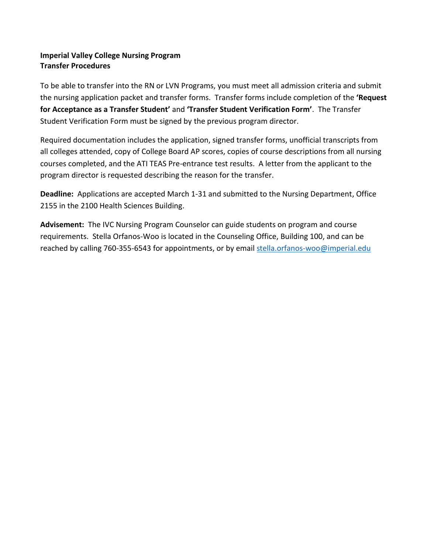# **Imperial Valley College Nursing Program Transfer Procedures**

To be able to transfer into the RN or LVN Programs, you must meet all admission criteria and submit the nursing application packet and transfer forms. Transfer forms include completion of the **'Request for Acceptance as a Transfer Student'** and **'Transfer Student Verification Form'**. The Transfer Student Verification Form must be signed by the previous program director.

Required documentation includes the application, signed transfer forms, unofficial transcripts from all colleges attended, copy of College Board AP scores, copies of course descriptions from all nursing courses completed, and the ATI TEAS Pre-entrance test results. A letter from the applicant to the program director is requested describing the reason for the transfer.

**Deadline:** Applications are accepted March 1-31 and submitted to the Nursing Department, Office 2155 in the 2100 Health Sciences Building.

**Advisement:** The IVC Nursing Program Counselor can guide students on program and course requirements. Stella Orfanos-Woo is located in the Counseling Office, Building 100, and can be reached by calling 760-355-6543 for appointments, or by email stella.orfanos-woo@imperial.edu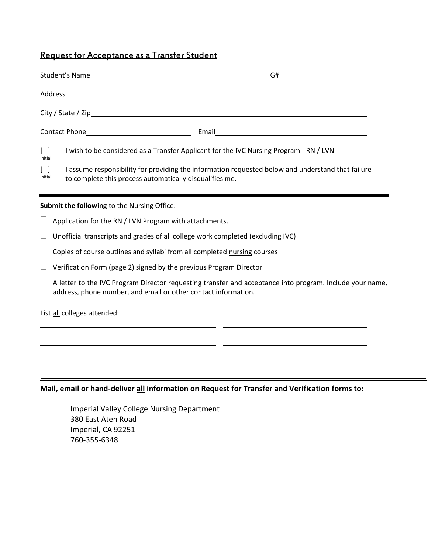# Request for Acceptance as a Transfer Student

| $\lceil \rceil$<br>I wish to be considered as a Transfer Applicant for the IVC Nursing Program - RN / LVN<br>Initial                                         |  |  |  |  |
|--------------------------------------------------------------------------------------------------------------------------------------------------------------|--|--|--|--|
| I assume responsibility for providing the information requested below and understand that failure<br>to complete this process automatically disqualifies me. |  |  |  |  |

#### **Submit the following** to the Nursing Office:

- $\Box$  Application for the RN / LVN Program with attachments.
- $\Box$  Unofficial transcripts and grades of all college work completed (excluding IVC)
- $\Box$  Copies of course outlines and syllabi from all completed nursing courses
- $\Box$  Verification Form (page 2) signed by the previous Program Director
- $\Box$  A letter to the IVC Program Director requesting transfer and acceptance into program. Include your name, address, phone number, and email or other contact information.

List all colleges attended:

### **Mail, email or hand-deliver all information on Request for Transfer and Verification forms to:**

Imperial Valley College Nursing Department 380 East Aten Road Imperial, CA 92251 760-355-6348